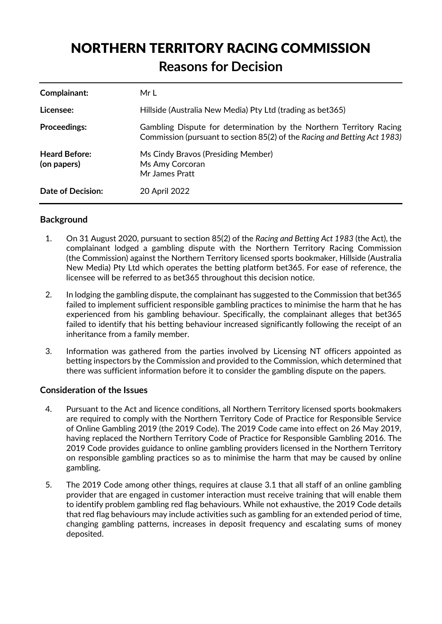# NORTHERN TERRITORY RACING COMMISSION **Reasons for Decision**

| Complainant:                        | Mr L                                                                                                                                             |
|-------------------------------------|--------------------------------------------------------------------------------------------------------------------------------------------------|
| Licensee:                           | Hillside (Australia New Media) Pty Ltd (trading as bet 365)                                                                                      |
| <b>Proceedings:</b>                 | Gambling Dispute for determination by the Northern Territory Racing<br>Commission (pursuant to section 85(2) of the Racing and Betting Act 1983) |
| <b>Heard Before:</b><br>(on papers) | Ms Cindy Bravos (Presiding Member)<br>Ms Amy Corcoran<br>Mr James Pratt                                                                          |
| <b>Date of Decision:</b>            | 20 April 2022                                                                                                                                    |

## **Background**

- 1. On 31 August 2020, pursuant to section 85(2) of the *Racing and Betting Act 1983* (the Act), the complainant lodged a gambling dispute with the Northern Territory Racing Commission (the Commission) against the Northern Territory licensed sports bookmaker, Hillside (Australia New Media) Pty Ltd which operates the betting platform bet365. For ease of reference, the licensee will be referred to as bet365 throughout this decision notice.
- 2. In lodging the gambling dispute, the complainant has suggested to the Commission that bet365 failed to implement sufficient responsible gambling practices to minimise the harm that he has experienced from his gambling behaviour. Specifically, the complainant alleges that bet365 failed to identify that his betting behaviour increased significantly following the receipt of an inheritance from a family member.
- 3. Information was gathered from the parties involved by Licensing NT officers appointed as betting inspectors by the Commission and provided to the Commission, which determined that there was sufficient information before it to consider the gambling dispute on the papers.

## **Consideration of the Issues**

- 4. Pursuant to the Act and licence conditions, all Northern Territory licensed sports bookmakers are required to comply with the Northern Territory Code of Practice for Responsible Service of Online Gambling 2019 (the 2019 Code). The 2019 Code came into effect on 26 May 2019, having replaced the Northern Territory Code of Practice for Responsible Gambling 2016. The 2019 Code provides guidance to online gambling providers licensed in the Northern Territory on responsible gambling practices so as to minimise the harm that may be caused by online gambling.
- 5. The 2019 Code among other things, requires at clause 3.1 that all staff of an online gambling provider that are engaged in customer interaction must receive training that will enable them to identify problem gambling red flag behaviours. While not exhaustive, the 2019 Code details that red flag behaviours may include activities such as gambling for an extended period of time, changing gambling patterns, increases in deposit frequency and escalating sums of money deposited.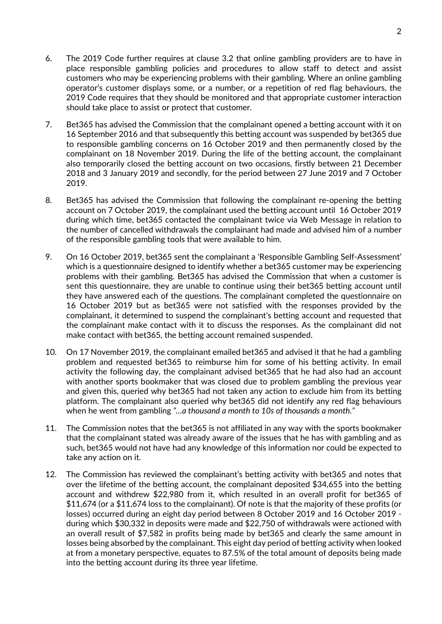- 6. The 2019 Code further requires at clause 3.2 that online gambling providers are to have in place responsible gambling policies and procedures to allow staff to detect and assist customers who may be experiencing problems with their gambling. Where an online gambling operator's customer displays some, or a number, or a repetition of red flag behaviours, the 2019 Code requires that they should be monitored and that appropriate customer interaction should take place to assist or protect that customer.
- 7. Bet365 has advised the Commission that the complainant opened a betting account with it on 16 September 2016 and that subsequently this betting account was suspended by bet365 due to responsible gambling concerns on 16 October 2019 and then permanently closed by the complainant on 18 November 2019. During the life of the betting account, the complainant also temporarily closed the betting account on two occasions, firstly between 21 December 2018 and 3 January 2019 and secondly, for the period between 27 June 2019 and 7 October 2019.
- 8. Bet365 has advised the Commission that following the complainant re-opening the betting account on 7 October 2019, the complainant used the betting account until 16 October 2019 during which time, bet365 contacted the complainant twice via Web Message in relation to the number of cancelled withdrawals the complainant had made and advised him of a number of the responsible gambling tools that were available to him.
- 9. On 16 October 2019, bet365 sent the complainant a 'Responsible Gambling Self-Assessment' which is a questionnaire designed to identify whether a bet365 customer may be experiencing problems with their gambling. Bet365 has advised the Commission that when a customer is sent this questionnaire, they are unable to continue using their bet365 betting account until they have answered each of the questions. The complainant completed the questionnaire on 16 October 2019 but as bet365 were not satisfied with the responses provided by the complainant, it determined to suspend the complainant's betting account and requested that the complainant make contact with it to discuss the responses. As the complainant did not make contact with bet365, the betting account remained suspended.
- 10. On 17 November 2019, the complainant emailed bet365 and advised it that he had a gambling problem and requested bet365 to reimburse him for some of his betting activity. In email activity the following day, the complainant advised bet365 that he had also had an account with another sports bookmaker that was closed due to problem gambling the previous year and given this, queried why bet365 had not taken any action to exclude him from its betting platform. The complainant also queried why bet365 did not identify any red flag behaviours when he went from gambling *"…a thousand a month to 10s of thousands a month."*
- 11. The Commission notes that the bet365 is not affiliated in any way with the sports bookmaker that the complainant stated was already aware of the issues that he has with gambling and as such, bet365 would not have had any knowledge of this information nor could be expected to take any action on it.
- 12. The Commission has reviewed the complainant's betting activity with bet365 and notes that over the lifetime of the betting account, the complainant deposited \$34,655 into the betting account and withdrew \$22,980 from it, which resulted in an overall profit for bet365 of \$11,674 (or a \$11,674 loss to the complainant). Of note is that the majority of these profits (or losses) occurred during an eight day period between 8 October 2019 and 16 October 2019 during which \$30,332 in deposits were made and \$22,750 of withdrawals were actioned with an overall result of \$7,582 in profits being made by bet365 and clearly the same amount in losses being absorbed by the complainant. This eight day period of betting activity when looked at from a monetary perspective, equates to 87.5% of the total amount of deposits being made into the betting account during its three year lifetime.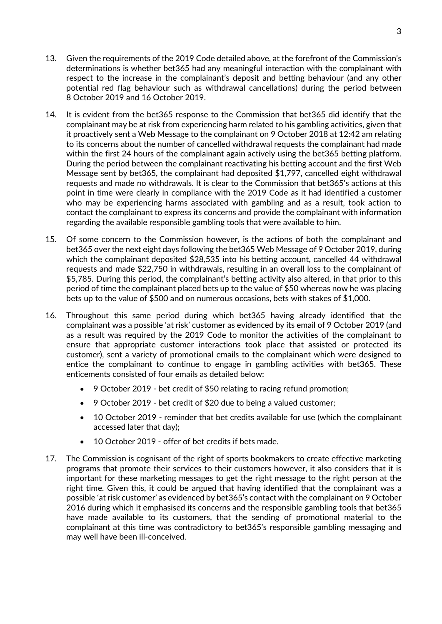- 13. Given the requirements of the 2019 Code detailed above, at the forefront of the Commission's determinations is whether bet365 had any meaningful interaction with the complainant with respect to the increase in the complainant's deposit and betting behaviour (and any other potential red flag behaviour such as withdrawal cancellations) during the period between 8 October 2019 and 16 October 2019.
- 14. It is evident from the bet365 response to the Commission that bet365 did identify that the complainant may be at risk from experiencing harm related to his gambling activities, given that it proactively sent a Web Message to the complainant on 9 October 2018 at 12:42 am relating to its concerns about the number of cancelled withdrawal requests the complainant had made within the first 24 hours of the complainant again actively using the bet365 betting platform. During the period between the complainant reactivating his betting account and the first Web Message sent by bet365, the complainant had deposited \$1,797, cancelled eight withdrawal requests and made no withdrawals. It is clear to the Commission that bet365's actions at this point in time were clearly in compliance with the 2019 Code as it had identified a customer who may be experiencing harms associated with gambling and as a result, took action to contact the complainant to express its concerns and provide the complainant with information regarding the available responsible gambling tools that were available to him.
- 15. Of some concern to the Commission however, is the actions of both the complainant and bet365 over the next eight days following the bet365 Web Message of 9 October 2019, during which the complainant deposited \$28,535 into his betting account, cancelled 44 withdrawal requests and made \$22,750 in withdrawals, resulting in an overall loss to the complainant of \$5,785. During this period, the complainant's betting activity also altered, in that prior to this period of time the complainant placed bets up to the value of \$50 whereas now he was placing bets up to the value of \$500 and on numerous occasions, bets with stakes of \$1,000.
- 16. Throughout this same period during which bet365 having already identified that the complainant was a possible 'at risk' customer as evidenced by its email of 9 October 2019 (and as a result was required by the 2019 Code to monitor the activities of the complainant to ensure that appropriate customer interactions took place that assisted or protected its customer), sent a variety of promotional emails to the complainant which were designed to entice the complainant to continue to engage in gambling activities with bet365. These enticements consisted of four emails as detailed below:
	- 9 October 2019 bet credit of \$50 relating to racing refund promotion;
	- 9 October 2019 bet credit of \$20 due to being a valued customer;
	- 10 October 2019 reminder that bet credits available for use (which the complainant accessed later that day);
	- 10 October 2019 offer of bet credits if bets made.
- 17. The Commission is cognisant of the right of sports bookmakers to create effective marketing programs that promote their services to their customers however, it also considers that it is important for these marketing messages to get the right message to the right person at the right time. Given this, it could be argued that having identified that the complainant was a possible 'at risk customer' as evidenced by bet365's contact with the complainant on 9 October 2016 during which it emphasised its concerns and the responsible gambling tools that bet365 have made available to its customers, that the sending of promotional material to the complainant at this time was contradictory to bet365's responsible gambling messaging and may well have been ill-conceived.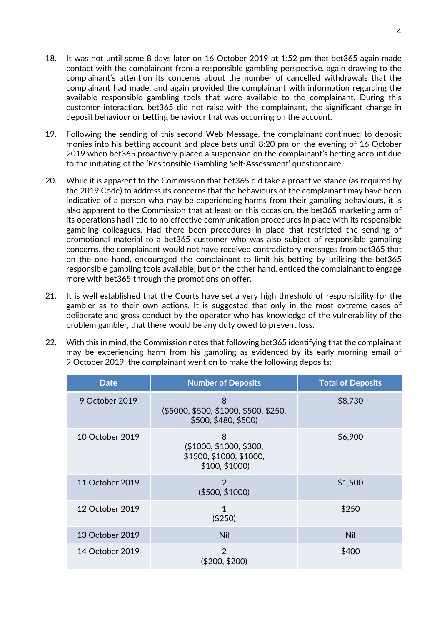- 18. It was not until some 8 days later on 16 October 2019 at 1:52 pm that bet365 again made contact with the complainant from a responsible gambling perspective, again drawing to the complainant's attention its concerns about the number of cancelled withdrawals that the complainant had made, and again provided the complainant with information regarding the available responsible gambling tools that were available to the complainant. During this customer interaction, bet365 did not raise with the complainant, the significant change in deposit behaviour or betting behaviour that was occurring on the account.
- 19. Following the sending of this second Web Message, the complainant continued to deposit monies into his betting account and place bets until 8:20 pm on the evening of 16 October 2019 when bet365 proactively placed a suspension on the complainant's betting account due to the initiating of the 'Responsible Gambling Self-Assessment' questionnaire.
- 20. While it is apparent to the Commission that bet365 did take a proactive stance (as required by the 2019 Code) to address its concerns that the behaviours of the complainant may have been indicative of a person who may be experiencing harms from their gambling behaviours, it is also apparent to the Commission that at least on this occasion, the bet365 marketing arm of its operations had little to no effective communication procedures in place with its responsible gambling colleagues. Had there been procedures in place that restricted the sending of promotional material to a bet365 customer who was also subject of responsible gambling concerns, the complainant would not have received contradictory messages from bet365 that on the one hand, encouraged the complainant to limit his betting by utilising the bet365 responsible gambling tools available; but on the other hand, enticed the complainant to engage more with bet365 through the promotions on offer.
- 21. It is well established that the Courts have set a very high threshold of responsibility for the gambler as to their own actions. It is suggested that only in the most extreme cases of deliberate and gross conduct by the operator who has knowledge of the vulnerability of the problem gambler, that there would be any duty owed to prevent loss.
- 22. With this in mind, the Commission notes that following bet365 identifying that the complainant may be experiencing harm from his gambling as evidenced by its early morning email of 9 October 2019, the complainant went on to make the following deposits:

| <b>Date</b>     | <b>Number of Deposits</b>                                                 | <b>Total of Deposits</b> |
|-----------------|---------------------------------------------------------------------------|--------------------------|
| 9 October 2019  | 8<br>(\$5000, \$500, \$1000, \$500, \$250,<br>\$500, \$480, \$500)        | \$8,730                  |
| 10 October 2019 | 8<br>(\$1000, \$1000, \$300,<br>\$1500, \$1000, \$1000,<br>\$100, \$1000) | \$6,900                  |
| 11 October 2019 | $\mathcal{P}$<br>(\$500, \$1000)                                          | \$1,500                  |
| 12 October 2019 | (\$250)                                                                   | \$250                    |
| 13 October 2019 | Nil                                                                       | Nil                      |
| 14 October 2019 | $\mathcal{P}$<br>(\$200, \$200)                                           | \$400                    |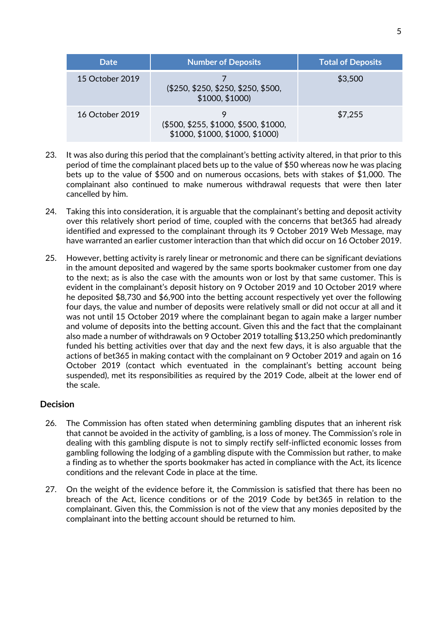| Date            | Number of Deposits                                                       | <b>Total of Deposits</b> |
|-----------------|--------------------------------------------------------------------------|--------------------------|
| 15 October 2019 | (\$250, \$250, \$250, \$250, \$500,<br>\$1000, \$1000)                   | \$3,500                  |
| 16 October 2019 | (\$500, \$255, \$1000, \$500, \$1000,<br>\$1000, \$1000, \$1000, \$1000) | \$7,255                  |

- 23. It was also during this period that the complainant's betting activity altered, in that prior to this period of time the complainant placed bets up to the value of \$50 whereas now he was placing bets up to the value of \$500 and on numerous occasions, bets with stakes of \$1,000. The complainant also continued to make numerous withdrawal requests that were then later cancelled by him.
- 24. Taking this into consideration, it is arguable that the complainant's betting and deposit activity over this relatively short period of time, coupled with the concerns that bet365 had already identified and expressed to the complainant through its 9 October 2019 Web Message, may have warranted an earlier customer interaction than that which did occur on 16 October 2019.
- 25. However, betting activity is rarely linear or metronomic and there can be significant deviations in the amount deposited and wagered by the same sports bookmaker customer from one day to the next; as is also the case with the amounts won or lost by that same customer. This is evident in the complainant's deposit history on 9 October 2019 and 10 October 2019 where he deposited \$8,730 and \$6,900 into the betting account respectively yet over the following four days, the value and number of deposits were relatively small or did not occur at all and it was not until 15 October 2019 where the complainant began to again make a larger number and volume of deposits into the betting account. Given this and the fact that the complainant also made a number of withdrawals on 9 October 2019 totalling \$13,250 which predominantly funded his betting activities over that day and the next few days, it is also arguable that the actions of bet365 in making contact with the complainant on 9 October 2019 and again on 16 October 2019 (contact which eventuated in the complainant's betting account being suspended), met its responsibilities as required by the 2019 Code, albeit at the lower end of the scale.

#### **Decision**

- 26. The Commission has often stated when determining gambling disputes that an inherent risk that cannot be avoided in the activity of gambling, is a loss of money. The Commission's role in dealing with this gambling dispute is not to simply rectify self-inflicted economic losses from gambling following the lodging of a gambling dispute with the Commission but rather, to make a finding as to whether the sports bookmaker has acted in compliance with the Act, its licence conditions and the relevant Code in place at the time.
- 27. On the weight of the evidence before it, the Commission is satisfied that there has been no breach of the Act, licence conditions or of the 2019 Code by bet365 in relation to the complainant. Given this, the Commission is not of the view that any monies deposited by the complainant into the betting account should be returned to him.